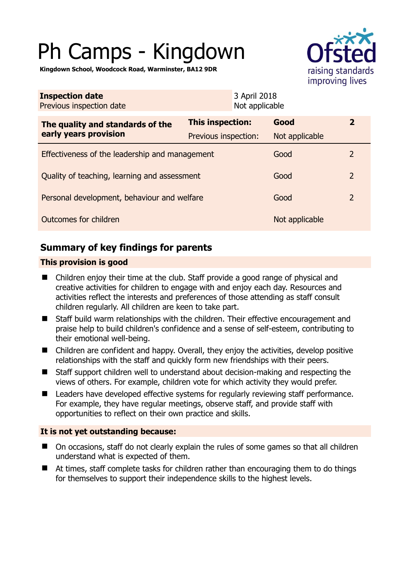# Ph Camps - Kingdown



**Kingdown School, Woodcock Road, Warminster, BA12 9DR** 

| <b>Inspection date</b><br>Previous inspection date        |                      | 3 April 2018<br>Not applicable |                |                |
|-----------------------------------------------------------|----------------------|--------------------------------|----------------|----------------|
| The quality and standards of the<br>early years provision | This inspection:     |                                | Good           | $\mathbf{2}$   |
|                                                           | Previous inspection: |                                | Not applicable |                |
| Effectiveness of the leadership and management            |                      |                                | Good           | 2              |
| Quality of teaching, learning and assessment              |                      |                                | Good           | $\overline{2}$ |
| Personal development, behaviour and welfare               |                      |                                | Good           | $\overline{2}$ |
| Outcomes for children                                     |                      |                                | Not applicable |                |

# **Summary of key findings for parents**

## **This provision is good**

- Children enjoy their time at the club. Staff provide a good range of physical and creative activities for children to engage with and enjoy each day. Resources and activities reflect the interests and preferences of those attending as staff consult children regularly. All children are keen to take part.
- Staff build warm relationships with the children. Their effective encouragement and praise help to build children's confidence and a sense of self-esteem, contributing to their emotional well-being.
- Children are confident and happy. Overall, they enjoy the activities, develop positive relationships with the staff and quickly form new friendships with their peers.
- Staff support children well to understand about decision-making and respecting the views of others. For example, children vote for which activity they would prefer.
- Leaders have developed effective systems for regularly reviewing staff performance. For example, they have regular meetings, observe staff, and provide staff with opportunities to reflect on their own practice and skills.

## **It is not yet outstanding because:**

- On occasions, staff do not clearly explain the rules of some games so that all children understand what is expected of them.
- At times, staff complete tasks for children rather than encouraging them to do things for themselves to support their independence skills to the highest levels.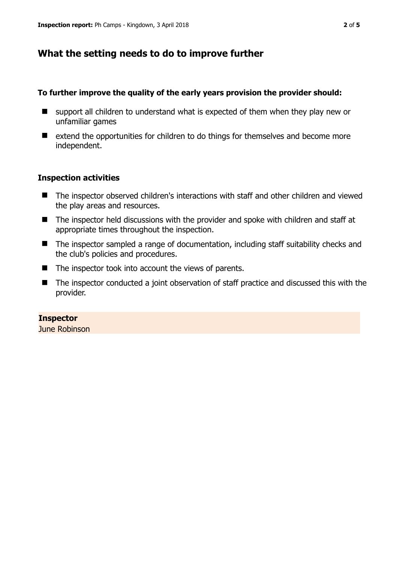# **What the setting needs to do to improve further**

### **To further improve the quality of the early years provision the provider should:**

- support all children to understand what is expected of them when they play new or unfamiliar games
- $\blacksquare$  extend the opportunities for children to do things for themselves and become more independent.

## **Inspection activities**

- The inspector observed children's interactions with staff and other children and viewed the play areas and resources.
- The inspector held discussions with the provider and spoke with children and staff at appropriate times throughout the inspection.
- The inspector sampled a range of documentation, including staff suitability checks and the club's policies and procedures.
- The inspector took into account the views of parents.
- The inspector conducted a joint observation of staff practice and discussed this with the provider.

#### **Inspector**

June Robinson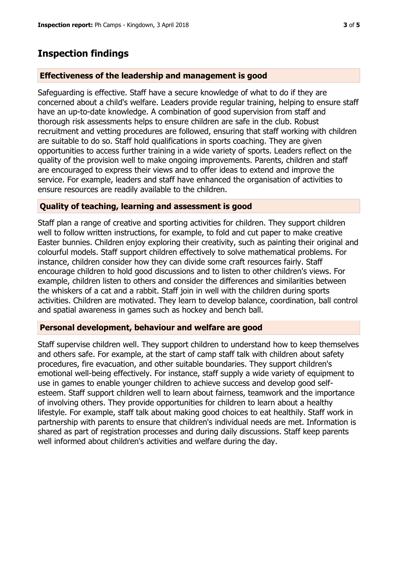## **Inspection findings**

#### **Effectiveness of the leadership and management is good**

Safeguarding is effective. Staff have a secure knowledge of what to do if they are concerned about a child's welfare. Leaders provide regular training, helping to ensure staff have an up-to-date knowledge. A combination of good supervision from staff and thorough risk assessments helps to ensure children are safe in the club. Robust recruitment and vetting procedures are followed, ensuring that staff working with children are suitable to do so. Staff hold qualifications in sports coaching. They are given opportunities to access further training in a wide variety of sports. Leaders reflect on the quality of the provision well to make ongoing improvements. Parents, children and staff are encouraged to express their views and to offer ideas to extend and improve the service. For example, leaders and staff have enhanced the organisation of activities to ensure resources are readily available to the children.

#### **Quality of teaching, learning and assessment is good**

Staff plan a range of creative and sporting activities for children. They support children well to follow written instructions, for example, to fold and cut paper to make creative Easter bunnies. Children enjoy exploring their creativity, such as painting their original and colourful models. Staff support children effectively to solve mathematical problems. For instance, children consider how they can divide some craft resources fairly. Staff encourage children to hold good discussions and to listen to other children's views. For example, children listen to others and consider the differences and similarities between the whiskers of a cat and a rabbit. Staff join in well with the children during sports activities. Children are motivated. They learn to develop balance, coordination, ball control and spatial awareness in games such as hockey and bench ball.

#### **Personal development, behaviour and welfare are good**

Staff supervise children well. They support children to understand how to keep themselves and others safe. For example, at the start of camp staff talk with children about safety procedures, fire evacuation, and other suitable boundaries. They support children's emotional well-being effectively. For instance, staff supply a wide variety of equipment to use in games to enable younger children to achieve success and develop good selfesteem. Staff support children well to learn about fairness, teamwork and the importance of involving others. They provide opportunities for children to learn about a healthy lifestyle. For example, staff talk about making good choices to eat healthily. Staff work in partnership with parents to ensure that children's individual needs are met. Information is shared as part of registration processes and during daily discussions. Staff keep parents well informed about children's activities and welfare during the day.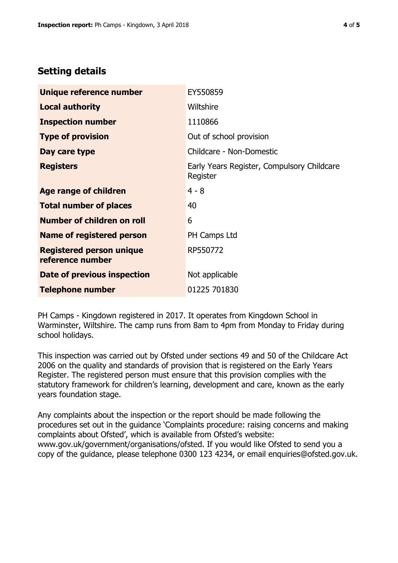# **Setting details**

| Unique reference number                             | EY550859                                               |  |  |
|-----------------------------------------------------|--------------------------------------------------------|--|--|
| <b>Local authority</b>                              | Wiltshire                                              |  |  |
| <b>Inspection number</b>                            | 1110866                                                |  |  |
| <b>Type of provision</b>                            | Out of school provision                                |  |  |
| Day care type                                       | Childcare - Non-Domestic                               |  |  |
| <b>Registers</b>                                    | Early Years Register, Compulsory Childcare<br>Register |  |  |
| Age range of children                               | $4 - 8$                                                |  |  |
| <b>Total number of places</b>                       | 40                                                     |  |  |
| Number of children on roll                          | 6                                                      |  |  |
| Name of registered person                           | PH Camps Ltd                                           |  |  |
| <b>Registered person unique</b><br>reference number | RP550772                                               |  |  |
| Date of previous inspection                         | Not applicable                                         |  |  |
| <b>Telephone number</b>                             | 01225 701830                                           |  |  |

PH Camps - Kingdown registered in 2017. It operates from Kingdown School in Warminster, Wiltshire. The camp runs from 8am to 4pm from Monday to Friday during school holidays.

This inspection was carried out by Ofsted under sections 49 and 50 of the Childcare Act 2006 on the quality and standards of provision that is registered on the Early Years Register. The registered person must ensure that this provision complies with the statutory framework for children's learning, development and care, known as the early years foundation stage.

Any complaints about the inspection or the report should be made following the procedures set out in the guidance 'Complaints procedure: raising concerns and making complaints about Ofsted', which is available from Ofsted's website: www.gov.uk/government/organisations/ofsted. If you would like Ofsted to send you a copy of the guidance, please telephone 0300 123 4234, or email enquiries@ofsted.gov.uk.